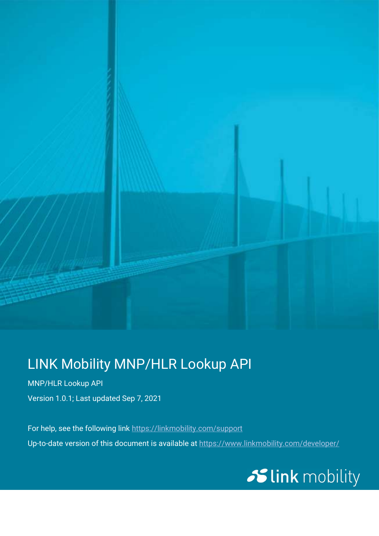

### LINK Mobility MNP/HLR Lookup API

MNP/HLR Lookup API Version 1.0.1; Last updated Sep 7, 2021

 For help, see the following link https://linkmobility.com/support Up-to-date version of this document is available at https://www.linkmobility.com/developer/

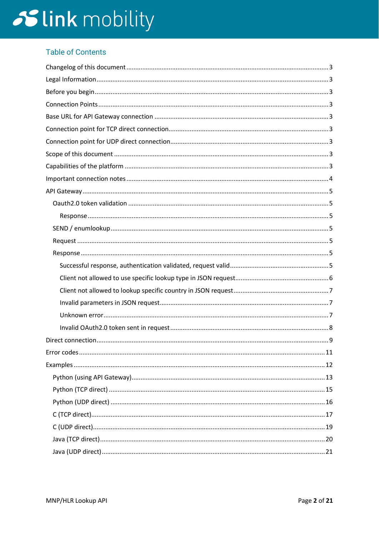### **Table of Contents**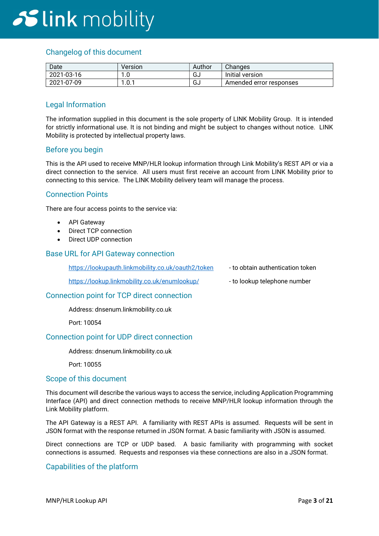### Changelog of this document

| Date       | Version          | Author       | Changes                 |
|------------|------------------|--------------|-------------------------|
| 2021-03-16 | ט. ו             | $\sim$<br>טט | Initial version         |
| 2021-07-09 | 1 N 1<br>I .U. I | $\sim$<br>ים | Amended error responses |

#### Legal Information

The information supplied in this document is the sole property of LINK Mobility Group. It is intended for strictly informational use. It is not binding and might be subject to changes without notice. LINK Mobility is protected by intellectual property laws.

#### Before you begin

This is the API used to receive MNP/HLR lookup information through Link Mobility's REST API or via a direct connection to the service. All users must first receive an account from LINK Mobility prior to connecting to this service. The LINK Mobility delivery team will manage the process.

#### Connection Points

There are four access points to the service via:

- API Gateway
- Direct TCP connection
- Direct UDP connection

#### Base URL for API Gateway connection

https://lookupauth.linkmobility.co.uk/oauth2/token - to obtain authentication token

https://lookup.linkmobility.co.uk/enumlookup/ - to lookup telephone number

- -

#### Connection point for TCP direct connection

Address: dnsenum.linkmobility.co.uk

Port: 10054

#### Connection point for UDP direct connection

#### Address: dnsenum.linkmobility.co.uk

Port: 10055

#### Scope of this document

This document will describe the various ways to access the service, including Application Programming Interface (API) and direct connection methods to receive MNP/HLR lookup information through the Link Mobility platform.

The API Gateway is a REST API. A familiarity with REST APIs is assumed. Requests will be sent in JSON format with the response returned in JSON format. A basic familiarity with JSON is assumed.

Direct connections are TCP or UDP based. A basic familiarity with programming with socket connections is assumed. Requests and responses via these connections are also in a JSON format.

#### Capabilities of the platform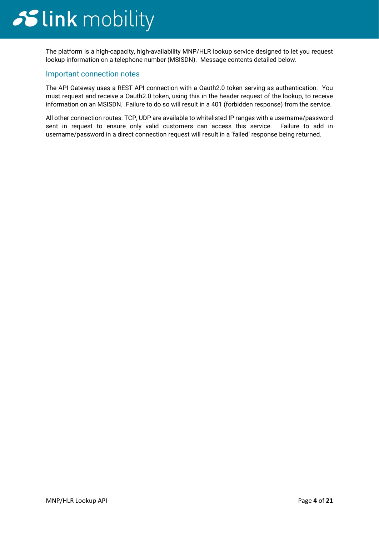The platform is a high-capacity, high-availability MNP/HLR lookup service designed to let you request lookup information on a telephone number (MSISDN). Message contents detailed below.

#### Important connection notes

The API Gateway uses a REST API connection with a Oauth2.0 token serving as authentication. You must request and receive a Oauth2.0 token, using this in the header request of the lookup, to receive information on an MSISDN. Failure to do so will result in a 401 (forbidden response) from the service.

All other connection routes: TCP, UDP are available to whitelisted IP ranges with a username/password sent in request to ensure only valid customers can access this service. Failure to add in username/password in a direct connection request will result in a 'failed' response being returned.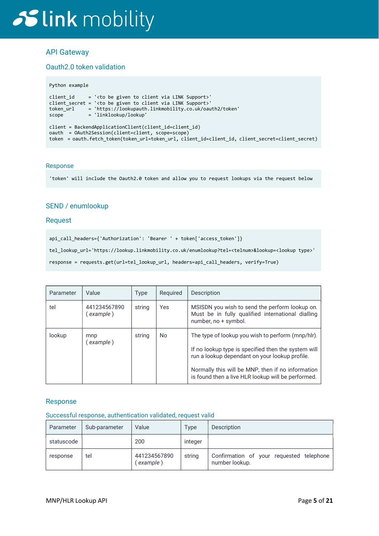### API Gateway

#### Oauth2.0 token validation

#### Python example

```
client_id = '<to be given to client via LINK Support>' 
client_secret = '<to be given to client via LINK Support>' 
token_url = 'https://lookupauth.linkmobility.co.uk/oauth2/token' 
scope = 'linklookup/lookup' 
client = BackendApplicationClient(client_id=client_id) 
oauth = OAuth2Session(client=client, scope=scope) 
token = oauth.fetch_token(token_url=token_url, client_id=client_id, client_secret=client_secret)
```
#### Response

'token' will include the Oauth2.0 token and allow you to request lookups via the request below

#### SEND / enumlookup

#### **Request**

api\_call\_headers={'Authorization': 'Bearer ' + token['access\_token']}

tel\_lookup\_url='https://lookup.linkmobility.co.uk/enumlookup?tel=<telnum>&lookup=<lookup type>'

response = requests.get(url=tel\_lookup\_url, headers=api\_call\_headers, verify=True)

| Parameter | Value                     | Type   | Reguired | Description                                                                                                                                                                                                                                                           |
|-----------|---------------------------|--------|----------|-----------------------------------------------------------------------------------------------------------------------------------------------------------------------------------------------------------------------------------------------------------------------|
| tel       | 441234567890<br>(example) | string | Yes      | MSISDN you wish to send the perform lookup on.<br>Must be in fully qualified international dialling<br>number, no + symbol.                                                                                                                                           |
| lookup    | mnp<br>example)           | string | No.      | The type of lookup you wish to perform (mnp/hlr).<br>If no lookup type is specified then the system will<br>run a lookup dependant on your lookup profile.<br>Normally this will be MNP, then if no information<br>is found then a live HLR lookup will be performed. |

#### Response

#### Successful response, authentication validated, request valid

| Parameter  | Sub-parameter | Value                     | Type    | Description                                                |
|------------|---------------|---------------------------|---------|------------------------------------------------------------|
| statuscode |               | 200                       | integer |                                                            |
| response   | tel           | 441234567890<br>(example) | string  | Confirmation of your requested telephone<br>number lookup. |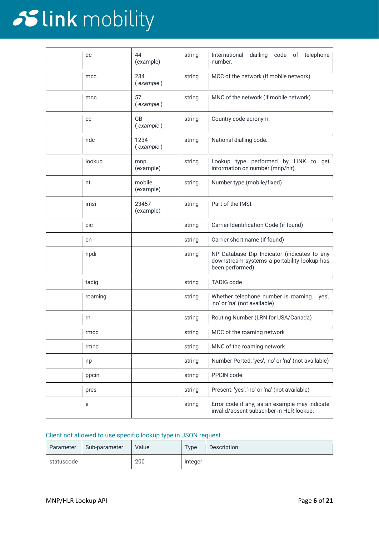| dc      | 44<br>(example)        | string | International<br>dialling code of telephone<br>number.                                                        |
|---------|------------------------|--------|---------------------------------------------------------------------------------------------------------------|
| mcc     | 234<br>(example)       | string | MCC of the network (if mobile network)                                                                        |
| mnc     | 57<br>(example)        | string | MNC of the network (if mobile network)                                                                        |
| cc      | <b>GB</b><br>(example) | string | Country code acronym.                                                                                         |
| ndc     | 1234<br>(example)      | string | National dialling code.                                                                                       |
| lookup  | mnp<br>(example)       | string | Lookup type performed by LINK to get<br>information on number (mnp/hlr)                                       |
| nt      | mobile<br>(example)    | string | Number type (mobile/fixed)                                                                                    |
| imsi    | 23457<br>(example)     | string | Part of the IMSI.                                                                                             |
| cic     |                        | string | Carrier Identification Code (if found)                                                                        |
| cn      |                        | string | Carrier short name (if found)                                                                                 |
| npdi    |                        | string | NP Database Dip Indicator (indicates to any<br>downstream systems a portability lookup has<br>been performed) |
| tadig   |                        | string | <b>TADIG code</b>                                                                                             |
| roaming |                        | string | Whether telephone number is roaming. 'yes',<br>'no' or 'na' (not available)                                   |
| rn      |                        | string | Routing Number (LRN for USA/Canada)                                                                           |
| rmcc    |                        | string | MCC of the roaming network                                                                                    |
| rmnc    |                        | string | MNC of the roaming network                                                                                    |
| np      |                        | string | Number Ported: 'yes', 'no' or 'na' (not available)                                                            |
| ppcin   |                        | string | PPCIN code                                                                                                    |
| pres    |                        | string | Present: 'yes', 'no' or 'na' (not available)                                                                  |
| e       |                        | string | Error code if any, as an example may indicate<br>invalid/absent subscriber in HLR lookup.                     |

#### Client not allowed to use specific lookup type in JSON request

| Parameter  | Sub-parameter | Value | Type    | Description |
|------------|---------------|-------|---------|-------------|
| statuscode |               | 200   | integer |             |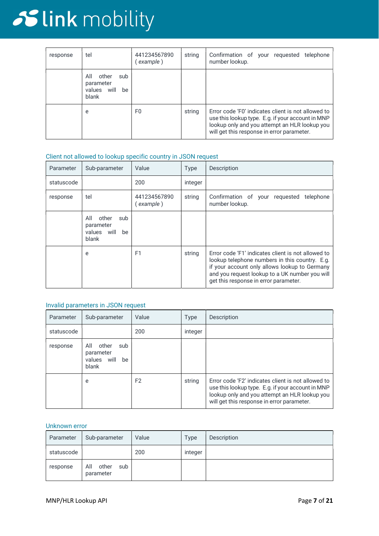| response | tel                                                               | 441234567890<br>example) | string | Confirmation of your requested telephone<br>number lookup.                                                                                                                                             |
|----------|-------------------------------------------------------------------|--------------------------|--------|--------------------------------------------------------------------------------------------------------------------------------------------------------------------------------------------------------|
|          | All<br>other<br>sub<br>parameter<br>will<br>be<br>values<br>blank |                          |        |                                                                                                                                                                                                        |
|          | e                                                                 | F0                       | string | Error code 'F0' indicates client is not allowed to<br>use this lookup type. E.g. if your account in MNP<br>lookup only and you attempt an HLR lookup you<br>will get this response in error parameter. |

#### Client not allowed to lookup specific country in JSON request

| Parameter  | Sub-parameter                                                  | Value                    | <b>Type</b> | Description                                                                                                                                                                                                                                      |
|------------|----------------------------------------------------------------|--------------------------|-------------|--------------------------------------------------------------------------------------------------------------------------------------------------------------------------------------------------------------------------------------------------|
| statuscode |                                                                | 200                      | integer     |                                                                                                                                                                                                                                                  |
| response   | tel                                                            | 441234567890<br>example) | string      | Confirmation of your requested<br>telephone<br>number lookup.                                                                                                                                                                                    |
|            | other<br>All<br>sub<br>parameter<br>values will<br>be<br>blank |                          |             |                                                                                                                                                                                                                                                  |
|            | e                                                              | F <sub>1</sub>           | string      | Error code 'F1' indicates client is not allowed to<br>lookup telephone numbers in this country. E.g.<br>if your account only allows lookup to Germany<br>and you request lookup to a UK number you will<br>get this response in error parameter. |

#### Invalid parameters in JSON request

| Parameter  | Sub-parameter                                                     | Value          | <b>Type</b> | Description                                                                                                                                                                                            |
|------------|-------------------------------------------------------------------|----------------|-------------|--------------------------------------------------------------------------------------------------------------------------------------------------------------------------------------------------------|
| statuscode |                                                                   | 200            | integer     |                                                                                                                                                                                                        |
| response   | All<br>other<br>sub<br>parameter<br>will<br>be<br>values<br>blank |                |             |                                                                                                                                                                                                        |
|            | e                                                                 | F <sub>2</sub> | string      | Error code 'F2' indicates client is not allowed to<br>use this lookup type. E.g. if your account in MNP<br>lookup only and you attempt an HLR lookup you<br>will get this response in error parameter. |

#### Unknown error

| Parameter  | Sub-parameter                    | Value | Type    | Description |
|------------|----------------------------------|-------|---------|-------------|
| statuscode |                                  | 200   | integer |             |
| response   | All<br>other<br>sub<br>parameter |       |         |             |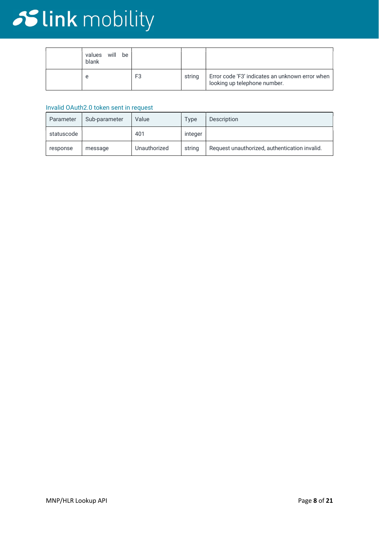| will be<br>values<br>blank |                |        |                                                                                 |
|----------------------------|----------------|--------|---------------------------------------------------------------------------------|
| e                          | F <sub>3</sub> | string | Error code 'F3' indicates an unknown error when<br>looking up telephone number. |

#### Invalid OAuth2.0 token sent in request

| Parameter  | Sub-parameter | Value        | Type    | Description                                   |
|------------|---------------|--------------|---------|-----------------------------------------------|
| statuscode |               | 401          | integer |                                               |
| response   | message       | Unauthorized | string  | Request unauthorized, authentication invalid. |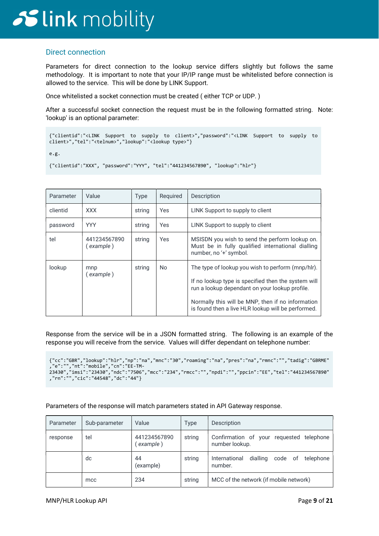### Direct connection

Parameters for direct connection to the lookup service differs slightly but follows the same methodology. It is important to note that your IP/IP range must be whitelisted before connection is allowed to the service. This will be done by LINK Support.

Once whitelisted a socket connection must be created ( either TCP or UDP. )

After a successful socket connection the request must be in the following formatted string. Note: 'lookup' is an optional parameter:

```
{"clientid":"<LINK Support to supply to client>","password":"<LINK Support to supply to 
client>","tel":"<telnum>","lookup":"<lookup type>"}
```
e.g.

```
{"clientid":"XXX", "password":"YYY", "tel":"441234567890", "lookup":"hlr"}
```

| Parameter | Value                       | <b>Type</b> | Required       | Description                                                                                                                                                                                                                                                           |
|-----------|-----------------------------|-------------|----------------|-----------------------------------------------------------------------------------------------------------------------------------------------------------------------------------------------------------------------------------------------------------------------|
| clientid  | <b>XXX</b>                  | string      | Yes            | LINK Support to supply to client                                                                                                                                                                                                                                      |
| password  | <b>YYY</b>                  | string      | Yes            | LINK Support to supply to client                                                                                                                                                                                                                                      |
| tel       | 441234567890<br>( example ) | string      | Yes            | MSISDN you wish to send the perform lookup on.<br>Must be in fully qualified international dialling<br>number, no '+' symbol.                                                                                                                                         |
| lookup    | mnp<br>(example)            | string      | N <sub>o</sub> | The type of lookup you wish to perform (mnp/hlr).<br>If no lookup type is specified then the system will<br>run a lookup dependant on your lookup profile.<br>Normally this will be MNP, then if no information<br>is found then a live HLR lookup will be performed. |

Response from the service will be in a JSON formatted string. The following is an example of the response you will receive from the service. Values will differ dependant on telephone number:

```
{"cc":"GBR","lookup":"hlr","np":"na","mnc":"30","roaming":"na","pres":"na","rmnc":"","tadig":"GBRME"
,"e":"","nt":"mobile","cn":"EE-TM-
23430","imsi":"23430","ndc":"7506","mcc":"234","rmcc":"","npdi":"","ppcin":"EE","tel":"441234567890"
,"rn":"","cic":"44548","dc":"44"}
```
Parameters of the response will match parameters stated in API Gateway response.

| Parameter | Sub-parameter | Value                    | <b>Type</b> | Description                                                  |
|-----------|---------------|--------------------------|-------------|--------------------------------------------------------------|
| response  | tel           | 441234567890<br>example) | string      | Confirmation of your requested telephone<br>number lookup.   |
|           | dc            | 44<br>(example)          | string      | International<br>dialling<br>code of<br>telephone<br>number. |
|           | mcc           | 234                      | string      | MCC of the network (if mobile network)                       |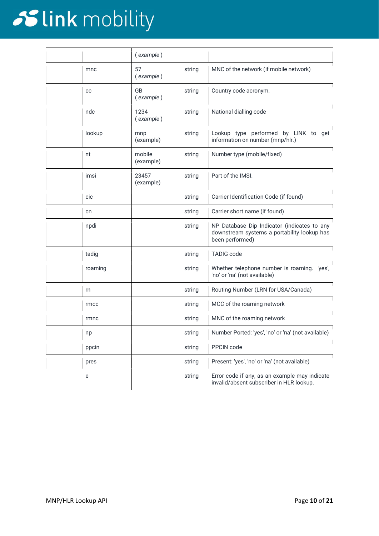|         | (example)           |        |                                                                                                               |
|---------|---------------------|--------|---------------------------------------------------------------------------------------------------------------|
| mnc     | 57<br>(example)     | string | MNC of the network (if mobile network)                                                                        |
| cc      | GB<br>(example)     | string | Country code acronym.                                                                                         |
| ndc     | 1234<br>(example)   | string | National dialling code                                                                                        |
| lookup  | mnp<br>(example)    | string | Lookup type performed by LINK to get<br>information on number (mnp/hlr.)                                      |
| nt      | mobile<br>(example) | string | Number type (mobile/fixed)                                                                                    |
| imsi    | 23457<br>(example)  | string | Part of the IMSI.                                                                                             |
| cic     |                     | string | Carrier Identification Code (if found)                                                                        |
| cn      |                     | string | Carrier short name (if found)                                                                                 |
| npdi    |                     | string | NP Database Dip Indicator (indicates to any<br>downstream systems a portability lookup has<br>been performed) |
| tadig   |                     | string | <b>TADIG code</b>                                                                                             |
| roaming |                     | string | Whether telephone number is roaming. 'yes',<br>'no' or 'na' (not available)                                   |
| rn      |                     | string | Routing Number (LRN for USA/Canada)                                                                           |
| rmcc    |                     | string | MCC of the roaming network                                                                                    |
| rmnc    |                     | string | MNC of the roaming network                                                                                    |
| np      |                     | string | Number Ported: 'yes', 'no' or 'na' (not available)                                                            |
| ppcin   |                     | string | PPCIN code                                                                                                    |
| pres    |                     | string | Present: 'yes', 'no' or 'na' (not available)                                                                  |
| e       |                     | string | Error code if any, as an example may indicate<br>invalid/absent subscriber in HLR lookup.                     |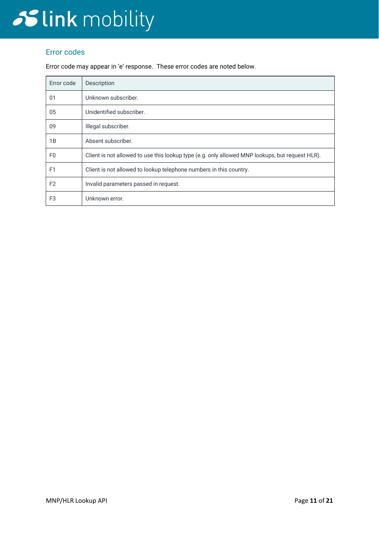### Error codes

Error code may appear in 'e' response. These error codes are noted below.

| Error code     | Description                                                                                     |  |  |  |
|----------------|-------------------------------------------------------------------------------------------------|--|--|--|
| 01             | Unknown subscriber.                                                                             |  |  |  |
| 05             | Unidentified subscriber.                                                                        |  |  |  |
| 09             | Illegal subscriber.                                                                             |  |  |  |
| 1B             | Absent subscriber.                                                                              |  |  |  |
| F <sub>0</sub> | Client is not allowed to use this lookup type (e.g. only allowed MNP lookups, but request HLR). |  |  |  |
| F <sub>1</sub> | Client is not allowed to lookup telephone numbers in this country.                              |  |  |  |
| F <sub>2</sub> | Invalid parameters passed in request.                                                           |  |  |  |
| F <sub>3</sub> | Unknown error.                                                                                  |  |  |  |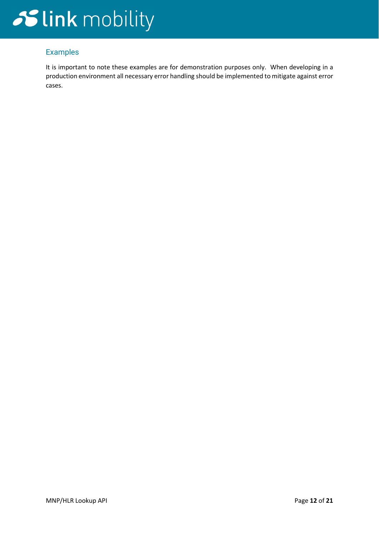### Examples

It is important to note these examples are for demonstration purposes only. When developing in a production environment all necessary error handling should be implemented to mitigate against error cases.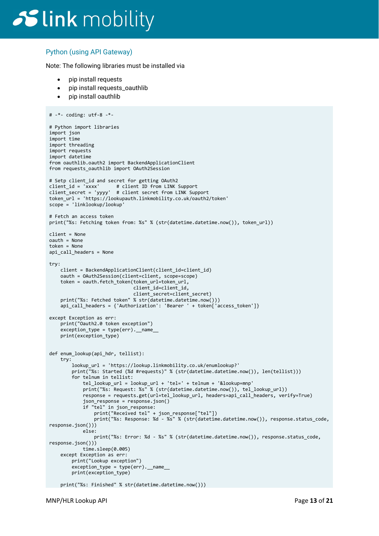### Python (using API Gateway)

Note: The following libraries must be installed via

- pip install requests
- pip install requests\_oauthlib
- pip install oauthlib

```
# -*- coding: utf-8 -*- 
# Python import libraries 
import json 
import time 
import threading 
import requests 
import datetime 
from oauthlib.oauth2 import BackendApplicationClient 
from requests_oauthlib import OAuth2Session 
# Setp client_id and secret for getting OAuth2 
client_id = 'xxxx' # client ID from LINK Support 
client_secret = 'yyyy' # client secret from LINK Support 
token_url = 'https://lookupauth.linkmobility.co.uk/oauth2/token' 
scope = 'linklookup/lookup' 
# Fetch an access token 
print("%s: Fetching token from: %s" % (str(datetime.datetime.now()), token_url)) 
client = None 
oauth = None 
token = None 
api_call_headers = None 
try: 
     client = BackendApplicationClient(client_id=client_id) 
     oauth = OAuth2Session(client=client, scope=scope) 
     token = oauth.fetch_token(token_url=token_url, 
                              client_id=client_id, client_secret=client_secret) 
    print("%s: Fetched token" % str(datetime.datetime.now()))
    api_call_headers = {'Authorization': 'Bearer ' + token['access_token']}
except Exception as err: 
     print("Oauth2.0 token exception") 
     exception_type = type(err).__name__ 
     print(exception_type) 
def enum_lookup(api_hdr, tellist): 
     try: 
         lookup_url = 'https://lookup.linkmobility.co.uk/enumlookup?' 
         print("%s: Started (%d #requests)" % (str(datetime.datetime.now()), len(tellist))) 
         for telnum in tellist: 
 tel_lookup_url = lookup_url + 'tel=' + telnum + '&lookup=mnp' 
 print("%s: Request: %s" % (str(datetime.datetime.now()), tel_lookup_url)) 
             response = requests.get(url=tel_lookup_url, headers=api_call_headers, verify=True) 
            json response = response.json()
             if "tel" in json_response: 
                print("Received tel" + json response["tel"])
                print("%s: Response: %d - %s" % (str(datetime.datetime.now()), response.status_code,
response.json()))
             else: 
                 print("%s: Error: %d - %s" % (str(datetime.datetime.now()), response.status_code, 
response.json())) 
             time.sleep(0.005) 
     except Exception as err: 
         print("Lookup exception") 
        exception_type = type(err). __name_
         print(exception_type) 
     print("%s: Finished" % str(datetime.datetime.now()))
```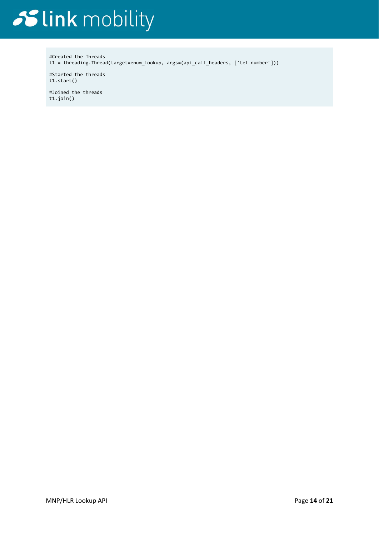#Created the Threads t1 = threading.Thread(target=enum\_lookup, args=(api\_call\_headers, ['tel number']))

#Started the threads t1.start()

#Joined the threads t1.join()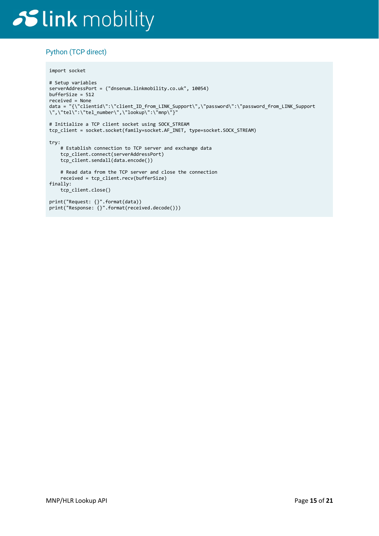### Python (TCP direct)

```
import socket
```

```
# Setup variables 
serverAddressPort = ("dnsenum.linkmobility.co.uk", 10054) 
bufferSize = 512 
received = None 
data = "{\"clientid\":\"client_ID_from_LINK_Support\",\"password\":\"password_from_LINK_Support 
\",\"tel\":\"tel_number\",\"lookup\":\"mnp\"}" 
# Initialize a TCP client socket using SOCK_STREAM 
tcp_client = socket.socket(family=socket.AF_INET, type=socket.SOCK_STREAM) 
try: 
    # Establish connection to TCP server and exchange data 
    tcp_client.connect(serverAddressPort) 
     tcp_client.sendall(data.encode()) 
    # Read data from the TCP server and close the connection 
    received = tcp_client.recv(bufferSize) 
finally: 
     tcp_client.close() 
print("Request: {}".format(data)) 
print("Response: {}".format(received.decode()))
```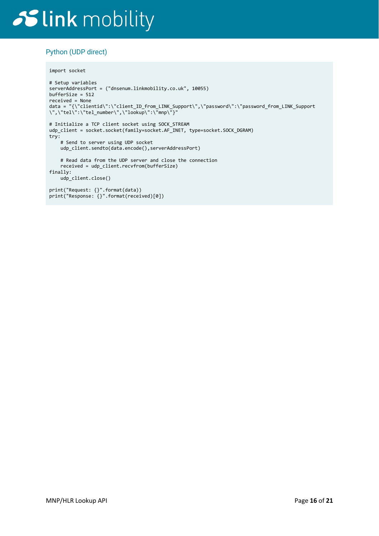### Python (UDP direct)

```
import socket
```

```
# Setup variables 
serverAddressPort = ("dnsenum.linkmobility.co.uk", 10055) 
bufferSize = 512 
received = None 
data = "{\"clientid\":\"client_ID_from_LINK_Support\",\"password\":\"password_from_LINK_Support 
\",\"tel\":\"tel_number\",\"lookup\":\"mnp\"}" 
# Initialize a TCP client socket using SOCK_STREAM 
udp_client = socket.socket(family=socket.AF_INET, type=socket.SOCK_DGRAM)
try: 
     # Send to server using UDP socket 
     udp_client.sendto(data.encode(),serverAddressPort) 
     # Read data from the UDP server and close the connection 
     received = udp_client.recvfrom(bufferSize) 
finally: 
     udp_client.close() 
print("Request: {}".format(data)) 
print("Response: {}".format(received)[0])
```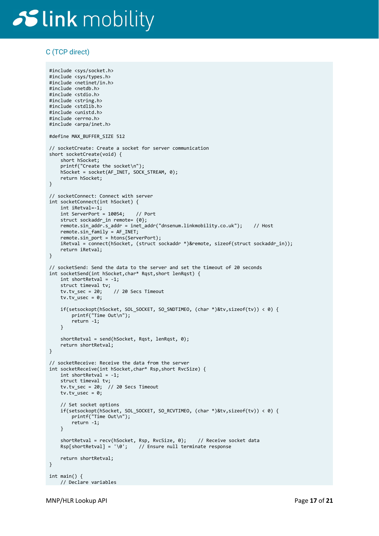#include <sys/socket.h>

### C (TCP direct)

```
#include <sys/types.h> 
#include <netinet/in.h> 
#include <netdb.h> 
#include <stdio.h> 
#include <string.h> 
#include <stdlib.h> 
#include <unistd.h> 
#include <errno.h> 
#include <arpa/inet.h> 
#define MAX_BUFFER_SIZE 512 
// socketCreate: Create a socket for server communication 
short socketCreate(void) { 
     short hSocket; 
     printf("Create the socket\n"); 
     hSocket = socket(AF_INET, SOCK_STREAM, 0); 
     return hSocket; 
} 
// socketConnect: Connect with server 
int socketConnect(int hSocket) { 
     int iRetval=-1; 
     int ServerPort = 10054; // Port 
    struct sockaddr_in remote= {0};
     remote.sin_addr.s_addr = inet_addr("dnsenum.linkmobility.co.uk"); // Host 
     remote.sin_family = AF_INET; 
    remote.sin port = htons(ServerPort);
    iRetval = connect(hSocket, (struct sockaddr *)&remote, sizeof(struct sockaddr in));
     return iRetval; 
} 
// socketSend: Send the data to the server and set the timeout of 20 seconds 
int socketSend(int hSocket,char* Rqst,short lenRqst) { 
     int shortRetval = -1; 
    struct timeval tv;<br>tv.tv sec = 20;
                       1/20 Secs Timeout
   tv.tv_usec = 0;
     if(setsockopt(hSocket, SOL_SOCKET, SO_SNDTIMEO, (char *)&tv,sizeof(tv)) < 0) { 
         printf("Time Out\n"); 
         return -1; 
     } 
    shortRetval = send(hSocket, Rqst, lenRqst, 0);
    return shortRetval; 
} 
// socketReceive: Receive the data from the server 
int socketReceive(int hSocket,char* Rsp,short RvcSize) { 
     int shortRetval = -1; 
     struct timeval tv; 
    tv.tv_sec = 20; \sqrt{20} Secs Timeout
    tv.tv_usec = 0; // Set socket options 
     if(setsockopt(hSocket, SOL_SOCKET, SO_RCVTIMEO, (char *)&tv,sizeof(tv)) < 0) { 
         printf("Time Out\n"); 
         return -1; 
     } 
    shortRetval = recv(hSocket, Rsp, RvcSize, 0); // Receive socket data
    Rsp[shortRetval] = '\0'; // Ensure null terminate response
     return shortRetval; 
} 
int main() { 
    // Declare variables
```
MNP/HLR Lookup API **Page 17 of 21**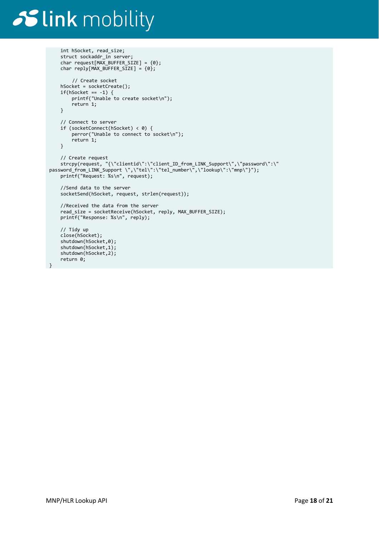```
 int hSocket, read_size;
     struct sockaddr_in server; 
    char request[MAX_BUFFER_SIZE] = {0};
    char reply[MAX_BUFFER_SIZE] = \{0\};
         // Create socket 
     hSocket = socketCreate(); 
    if(hSocket == -1) {
         printf("Unable to create socket\n"); 
         return 1; 
     } 
     // Connect to server 
     if (socketConnect(hSocket) < 0) { 
         perror("Unable to connect to socket\n"); 
         return 1; 
     } 
 // Create request 
 strcpy(request, "{\"clientid\":\"client_ID_from_LINK_Support\",\"password\":\" 
password_from_LINK_Support \",\"tel\":\"tel_number\",\"lookup\":\"mnp\"}"); 
 printf("Request: %s\n", request); 
     //Send data to the server 
     socketSend(hSocket, request, strlen(request)); 
     //Received the data from the server 
     read_size = socketReceive(hSocket, reply, MAX_BUFFER_SIZE); 
     printf("Response: %s\n", reply); 
     // Tidy up 
     close(hSocket); 
     shutdown(hSocket,0); 
     shutdown(hSocket,1); 
     shutdown(hSocket,2); 
     return 0; 
}
```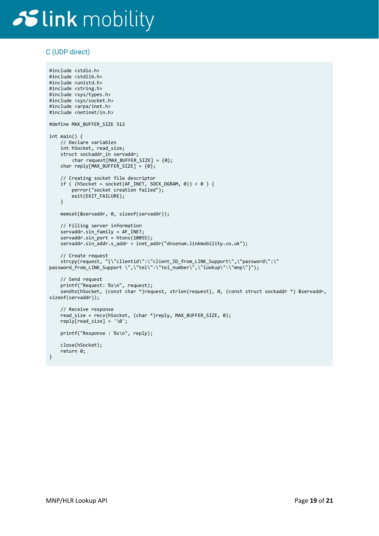### C (UDP direct)

#include <stdio.h>

```
#include <stdlib.h> 
#include <unistd.h> 
#include <string.h> 
#include <sys/types.h> 
#include <sys/socket.h> 
#include <arpa/inet.h> 
#include <netinet/in.h> 
#define MAX_BUFFER_SIZE 512 
int main() { 
     // Declare variables 
     int hSocket, read_size; 
     struct sockaddr_in servaddr; 
         char request[MAX_BUFFER_SIZE] = {0}; 
    char reply[MAX_BUFFER_SIZE] = \{0\};
     // Creating socket file descriptor 
    if ( (hSocket = socket(AF_INET, SOCK_DGRAM, 0)) < 0 ) {
         perror("socket creation failed"); 
         exit(EXIT_FAILURE); 
     } 
     memset(&servaddr, 0, sizeof(servaddr)); 
     // Filling server information 
     servaddr.sin_family = AF_INET; 
    servaddr.sin_port = htons(10055);
     servaddr.sin_addr.s_addr = inet_addr("dnsenum.linkmobility.co.uk"); 
     // Create request 
 strcpy(request, "{\"clientid\":\"client_ID_from_LINK_Support\",\"password\":\" 
password_from_LINK_Support \",\"tel\":\"tel_number\",\"lookup\":\"mnp\"}"); 
     // Send request 
     printf("Request: %s\n", request); 
     sendto(hSocket, (const char *)request, strlen(request), 0, (const struct sockaddr *) &servaddr, 
sizeof(servaddr)); 
     // Receive response 
     read_size = recv(hSocket, (char *)reply, MAX_BUFFER_SIZE, 0); 
    reply[read_size] = ' \0'; printf("Response : %s\n", reply); 
    close(hSocket); 
    return 0; 
}
```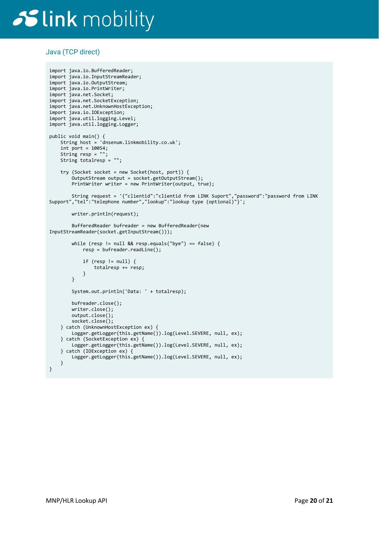### Java (TCP direct)

```
import java.io.BufferedReader; 
import java.io.InputStreamReader; 
import java.io.OutputStream; 
import java.io.PrintWriter; 
import java.net.Socket; 
import java.net.SocketException; 
import java.net.UnknownHostException; 
import java.io.IOException; 
import java.util.logging.Level; 
import java.util.logging.Logger; 
public void main() { 
 String host = 'dnsenum.linkmobility.co.uk'; 
    int port = 10054;
    String resp = ";
     String totalresp = ""; 
     try (Socket socket = new Socket(host, port)) { 
         OutputStream output = socket.getOutputStream(); 
         PrintWriter writer = new PrintWriter(output, true); 
         String request = '{"clientid":"clientid from LINK Suport","password":"password from LINK 
Support","tel":"telephone number","lookup":"lookup type (optional)"}'; 
         writer.println(request); 
         BufferedReader bufreader = new BufferedReader(new 
InputStreamReader(socket.getInputStream())); 
         while (resp != null && resp.equals("bye") == false) { 
             resp = bufreader.readLine(); 
             if (resp != null) { 
                 totalresp += resp; 
             } 
         } 
         System.out.println('Data: ' + totalresp); 
         bufreader.close(); 
         writer.close(); 
         output.close(); 
         socket.close(); 
     } catch (UnknownHostException ex) { 
         Logger.getLogger(this.getName()).log(Level.SEVERE, null, ex); 
     } catch (SocketException ex) { 
         Logger.getLogger(this.getName()).log(Level.SEVERE, null, ex); 
     } catch (IOException ex) { 
         Logger.getLogger(this.getName()).log(Level.SEVERE, null, ex); 
     } 
}
```